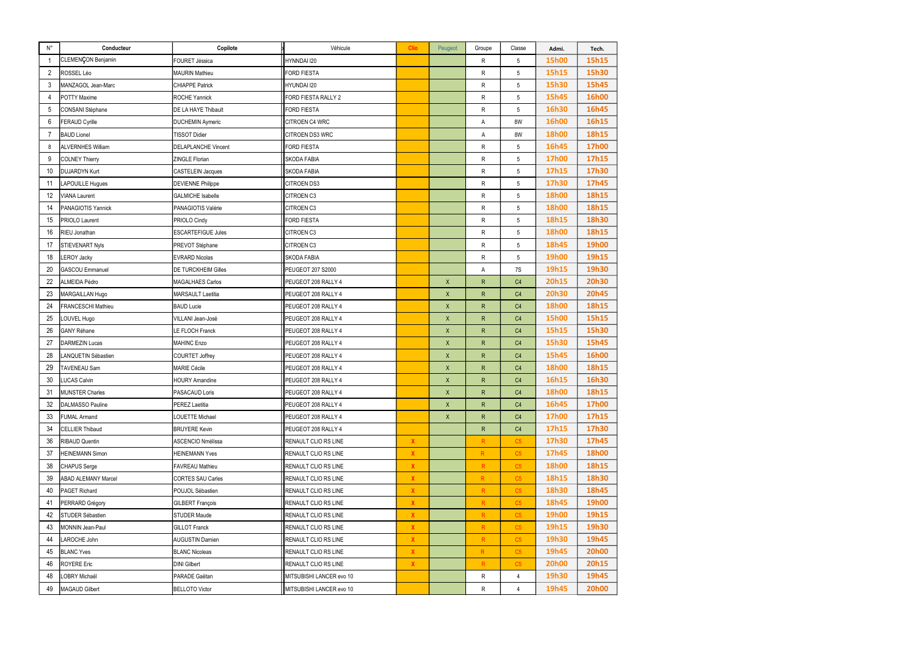| $\mathsf{N}^\circ$ | Conducteur                 | Copilote                   | Véhicule                    | Clio                      | Peugeot      | Groupe          | Classe         | Admi.        | Tech.        |
|--------------------|----------------------------|----------------------------|-----------------------------|---------------------------|--------------|-----------------|----------------|--------------|--------------|
| -1                 | CLEMENÇON Benjamin         | <b>FOURET Jéssica</b>      | HYNNDAI I20                 |                           |              | R               | 5              | <b>15h00</b> | 15h15        |
| $\overline{2}$     | ROSSEL Léo                 | <b>MAURIN Mathieu</b>      | <b>FORD FIESTA</b>          |                           |              | R               | 5              | 15h15        | 15h30        |
| 3                  | MANZAGOL Jean-Marc         | <b>CHIAPPE Patrick</b>     | <b>HYUNDAI I20</b>          |                           |              | R               | 5              | 15h30        | 15h45        |
| 4                  | <b>POTTY Maxime</b>        | ROCHE Yannick              | FORD FIESTA RALLY 2         |                           |              | R               | 5              | 15h45        | <b>16h00</b> |
| 5                  | CONSANI Stéphane           | DE LA HAYE Thibault        | <b>FORD FIESTA</b>          |                           |              | R               | 5              | 16h30        | 16h45        |
| 6                  | <b>FERAUD Cyrille</b>      | <b>DUCHEMIN Aymeric</b>    | <b>CITROEN C4 WRC</b>       |                           |              | А               | 8W             | <b>16h00</b> | 16h15        |
| -7                 | <b>BAUD Lionel</b>         | <b>TISSOT Didier</b>       | CITROEN DS3 WRC             |                           |              | А               | 8W             | <b>18h00</b> | 18h15        |
| 8                  | <b>ALVERNHES William</b>   | <b>DELAPLANCHE Vincent</b> | <b>FORD FIESTA</b>          |                           |              | R               | 5              | 16h45        | <b>17h00</b> |
| 9                  | <b>COLNEY Thierry</b>      | <b>ZINGLE Florian</b>      | <b>SKODA FABIA</b>          |                           |              | R               | 5              | <b>17h00</b> | 17h15        |
| 10                 | <b>DUJARDYN Kurt</b>       | <b>CASTELEIN Jacques</b>   | SKODA FABIA                 |                           |              | R               | 5              | 17h15        | 17h30        |
| 11                 | <b>LAPOUILLE Hugues</b>    | <b>DEVIENNE Philippe</b>   | <b>CITROEN DS3</b>          |                           |              | R               | 5              | 17h30        | 17h45        |
| 12                 | <b>VIANA Laurent</b>       | <b>GALMICHE Isabelle</b>   | <b>CITROEN C3</b>           |                           |              | R               | 5              | <b>18h00</b> | 18h15        |
| 14                 | PANAGIOTIS Yannick         | PANAGIOTIS Valérie         | CITROEN C3                  |                           |              | R               | 5              | <b>18h00</b> | 18h15        |
| 15                 | <b>PRIOLO Laurent</b>      | PRIOLO Cindy               | <b>FORD FIESTA</b>          |                           |              | R               | 5              | 18h15        | 18h30        |
| 16                 | RIEU Jonathan              | <b>ESCARTEFIGUE Jules</b>  | CITROEN C3                  |                           |              | R               | 5              | <b>18h00</b> | 18h15        |
| 17                 | <b>STIEVENART Nyls</b>     | PREVOT Stéphane            | <b>CITROEN C3</b>           |                           |              | R               | 5              | 18h45        | <b>19h00</b> |
| 18                 | <b>LEROY Jacky</b>         | <b>EVRARD Nicolas</b>      | <b>SKODA FABIA</b>          |                           |              | R               | 5              | <b>19h00</b> | 19h15        |
| 20                 | <b>GASCOU Emmanuel</b>     | <b>DE TURCKHEIM Gilles</b> | <b>PEUGEOT 207 S2000</b>    |                           |              | А               | 7S             | 19h15        | 19h30        |
| 22                 | ALMEIDA Pédro              | MAGALHAES Carlos           | PEUGEOT 208 RALLY 4         |                           | $\mathsf X$  | ${\sf R}$       | C <sub>4</sub> | 20h15        | <b>20h30</b> |
| 23                 | MARGAILLAN Hugo            | <b>MARSAULT Laetitia</b>   | PEUGEOT 208 RALLY 4         |                           | $\mathsf{X}$ | $\mathsf{R}$    | C <sub>4</sub> | <b>20h30</b> | <b>20h45</b> |
| 24                 | FRANCESCHI Mathieu         | <b>BAUD Lucie</b>          | PEUGEOT 208 RALLY 4         |                           | X            | $\mathsf{R}$    | C4             | <b>18h00</b> | 18h15        |
| 25                 | OUVEL Hugo                 | VILLANI Jean-José          | PEUGEOT 208 RALLY 4         |                           | Χ            | $\mathsf{R}$    | C4             | <b>15h00</b> | 15h15        |
| 26                 | <b>GANY Réhane</b>         | <b>LE FLOCH Franck</b>     | PEUGEOT 208 RALLY 4         |                           | $\mathsf{X}$ | $\mathsf{R}$    | C <sub>4</sub> | 15h15        | 15h30        |
| 27                 | <b>DARMEZIN Lucas</b>      | <b>MAHINC Enzo</b>         | PEUGEOT 208 RALLY 4         |                           | X            | $\mathsf{R}$    | C4             | 15h30        | 15h45        |
| 28                 | <b>ANQUETIN Sébastien</b>  | <b>COURTET Joffrey</b>     | PEUGEOT 208 RALLY 4         |                           | Χ            | $\mathsf{R}$    | C4             | 15h45        | <b>16h00</b> |
| 29                 | <b>TAVENEAU Sam</b>        | <b>MARIE Cécile</b>        | PEUGEOT 208 RALLY 4         |                           | $\mathsf{X}$ | $\mathsf{R}$    | C <sub>4</sub> | <b>18h00</b> | 18h15        |
| 30                 | <b>LUCAS Calvin</b>        | <b>HOURY Amandine</b>      | PEUGEOT 208 RALLY 4         |                           | X            | $\mathsf{R}$    | C4             | 16h15        | 16h30        |
| 31                 | <b>MUNSTER Charles</b>     | PASACAUD Loris             | PEUGEOT 208 RALLY 4         |                           | $\mathsf{X}$ | R               | C <sub>4</sub> | <b>18h00</b> | 18h15        |
| 32                 | <b>DALMASSO Pauline</b>    | PEREZ Laetitia             | PEUGEOT 208 RALLY 4         |                           | $\mathsf{X}$ | R               | C4             | 16h45        | <b>17h00</b> |
| 33                 | FUMAL Armand               | <b>LOUETTE Michael</b>     | PEUGEOT 208 RALLY 4         |                           | X.           | R               | C <sub>4</sub> | <b>17h00</b> | 17h15        |
| 34                 | <b>CELLIER Thibaud</b>     | <b>BRUYERE Kevin</b>       | PEUGEOT 208 RALLY 4         |                           |              | R               | C <sub>4</sub> | 17h15        | 17h30        |
| 36                 | <b>RIBAUD Quentin</b>      | <b>ASCENCIO Nmélissa</b>   | RENAULT CLIO RS LINE        | $\mathbf{X}$              |              | $\mathsf{R}$    | C5             | 17h30        | 17h45        |
| 37                 | <b>HEINEMANN Simon</b>     | <b>HEINEMANN Yves</b>      | RENAULT CLIO RS LINE        | X.                        |              | R               | C5             | 17h45        | <b>18h00</b> |
| 38                 | CHAPUS Serge               | <b>FAVREAU Mathieu</b>     | <b>RENAULT CLIO RS LINE</b> | $\boldsymbol{\mathsf{X}}$ |              | $\mathsf R$     | C5             | <b>18h00</b> | 18h15        |
| 39                 | <b>ABAD ALEMANY Marcel</b> | <b>CORTES SAU Carles</b>   | RENAULT CLIO RS LINE        | $\boldsymbol{\mathsf{X}}$ |              | R               | C5             | 18h15        | 18h30        |
| 40                 | PAGET Richard              | POUJOL Sébastien           | RENAULT CLIO RS LINE        | X.                        |              | $R_{\parallel}$ | C5             | 18h30        | 18h45        |
| 41                 | PERRARD Grégory            | <b>GILBERT François</b>    | RENAULT CLIO RS LINE        | $\pmb{\mathsf{X}}$        |              | $\mathsf R$     | C5             | 18h45        | <b>19h00</b> |
| 42                 | STUDER Sébastien           | <b>STUDER Maude</b>        | RENAULT CLIO RS LINE        | $\boldsymbol{\mathsf{X}}$ |              | $\mathsf{R}$    | C5             | 19h00        | 19h15        |
| 43                 | MONNIN Jean-Paul           | <b>GILLOT Franck</b>       | RENAULT CLIO RS LINE        | X.                        |              | $R_{\parallel}$ | C5             | 19h15        | 19h30        |
| 44                 | LAROCHE John               | <b>AUGUSTIN Damien</b>     | RENAULT CLIO RS LINE        | $\pmb{\mathsf{X}}$        |              | $\mathsf R$     | C5             | 19h30        | 19h45        |
| 45                 | <b>BLANC Yves</b>          | <b>BLANC Nicoleas</b>      | RENAULT CLIO RS LINE        | $\boldsymbol{\mathsf{X}}$ |              | $\mathsf R$     | C5             | 19h45        | <b>20h00</b> |
| 46                 | <b>ROYERE Eric</b>         | <b>DINI Gilbert</b>        | RENAULT CLIO RS LINE        | X.                        |              | $\mathsf{R}$    | C5             | <b>20h00</b> | 20h15        |
| 48                 | <b>OBRY Michaël</b>        | PARADE Gaëtan              | MITSUBISHI LANCER evo 10    |                           |              | R               | 4              | 19h30        | 19h45        |
| 49                 | <b>MAGAUD Gilbert</b>      | <b>BELLOTO Victor</b>      | MITSUBISHI LANCER evo 10    |                           |              | R               | $\overline{4}$ | 19h45        | <b>20h00</b> |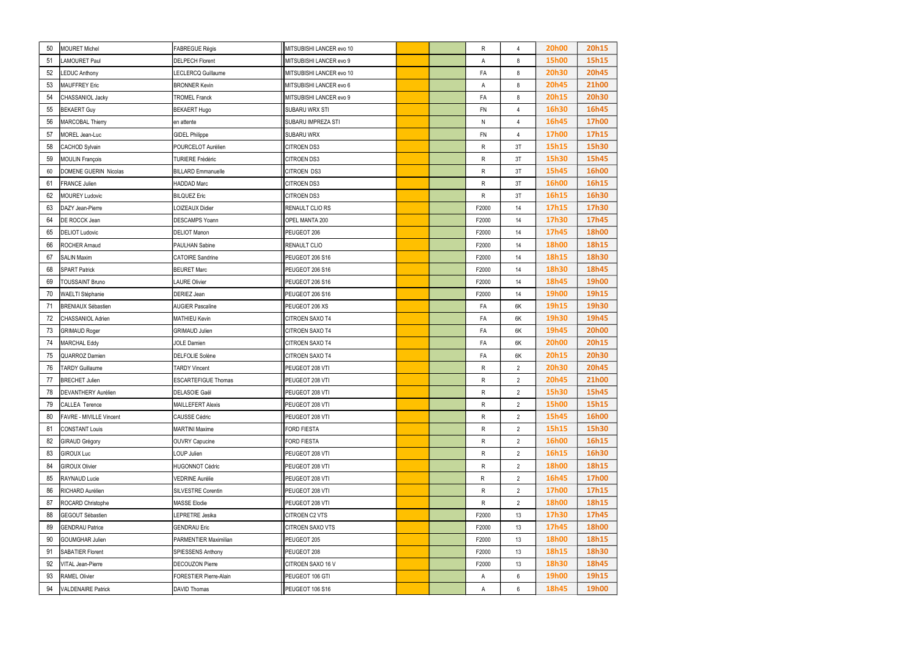| 50  | MOURET Michel                  | <b>FABREGUE Régis</b>         | MITSUBISHI LANCER evo 10  |  | R         | $\overline{4}$  | <b>20h00</b> | 20h15        |
|-----|--------------------------------|-------------------------------|---------------------------|--|-----------|-----------------|--------------|--------------|
| 51  | LAMOURET Paul                  | <b>DELPECH Florent</b>        | MITSUBISHI LANCER evo 9   |  | Α         | 8               | <b>15h00</b> | 15h15        |
| 52  | <b>LEDUC Anthony</b>           | LECLERCQ Guillaume            | MITSUBISHI LANCER evo 10  |  | FA        | 8               | <b>20h30</b> | <b>20h45</b> |
| 53  | <b>MAUFFREY Eric</b>           | <b>BRONNER Kevin</b>          | MITSUBISHI LANCER evo 6   |  | A         | 8               | <b>20h45</b> | <b>21h00</b> |
| 54  | CHASSANIOL Jacky               | <b>TROMEL Franck</b>          | MITSUBISHI LANCER evo 9   |  | FA        | 8               | 20h15        | <b>20h30</b> |
| 55  | <b>BEKAERT Guy</b>             | <b>BEKAERT Hugo</b>           | SUBARU WRX STI            |  | FN        | $\overline{4}$  | 16h30        | 16h45        |
| 56  | MARCOBAL Thierry               | en attente                    | <b>SUBARU IMPREZA STI</b> |  | N         | $\overline{4}$  | 16h45        | <b>17h00</b> |
| 57  | MOREL Jean-Luc                 | <b>GIDEL Philippe</b>         | SUBARU WRX                |  | <b>FN</b> | $\overline{4}$  | <b>17h00</b> | 17h15        |
| 58  | CACHOD Sylvain                 | POURCELOT Aurélien            | CITROEN DS3               |  | R         | 3T              | 15h15        | 15h30        |
| 59  | <b>MOULIN François</b>         | <b>TURIERE Frédéric</b>       | <b>CITROEN DS3</b>        |  | R         | 3T              | 15h30        | 15h45        |
| 60  | DOMENE GUERIN Nicolas          | <b>BILLARD Emmanuelle</b>     | CITROEN DS3               |  | R         | 3T              | 15h45        | <b>16h00</b> |
| 61  | <b>FRANCE Julien</b>           | HADDAD Marc                   | CITROEN DS3               |  | R         | 3T              | <b>16h00</b> | 16h15        |
| 62  | <b>MOUREY Ludovic</b>          | <b>BILQUEZ Eric</b>           | CITROEN DS3               |  | R         | 3T              | 16h15        | 16h30        |
| 63  | DAZY Jean-Pierre               | LOIZEAUX Didier               | RENAULT CLIO RS           |  | F2000     | 14              | 17h15        | 17h30        |
| 64  | <b>DE ROCCK Jean</b>           | DESCAMPS Yoann                | OPEL MANTA 200            |  | F2000     | 14              | 17h30        | 17h45        |
| 65  | <b>DELIOT Ludovic</b>          | <b>DELIOT Manon</b>           | PEUGEOT 206               |  | F2000     | 14              | 17h45        | <b>18h00</b> |
| 66  | <b>ROCHER Amaud</b>            | PAULHAN Sabine                | RENAULT CLIO              |  | F2000     | 14              | <b>18h00</b> | 18h15        |
| 67  | <b>SALIN Maxim</b>             | <b>CATOIRE Sandrine</b>       | PEUGEOT 206 S16           |  | F2000     | 14              | 18h15        | 18h30        |
| 68  | <b>SPART Patrick</b>           | <b>BEURET Marc</b>            | PEUGEOT 206 S16           |  | F2000     | 14              | 18h30        | 18h45        |
| 69  | <b>TOUSSAINT Bruno</b>         | <b>LAURE Olivier</b>          | PEUGEOT 206 S16           |  | F2000     | 14              | 18h45        | 19h00        |
| 70  | <b>WAELTI Stéphanie</b>        | DERIEZ Jean                   | PEUGEOT 206 S16           |  | F2000     | 14              | 19h00        | 19h15        |
| -71 | <b>BRENIAUX Sébastien</b>      | <b>AUGIER Pascaline</b>       | PEUGEOT 206 XS            |  | FA        | 6K              | 19h15        | 19h30        |
| 72  | CHASSANIOL Adrien              | <b>MATHIEU Kevin</b>          | CITROEN SAXO T4           |  | FA        | 6K              | 19h30        | 19h45        |
| 73  | <b>GRIMAUD Roger</b>           | <b>GRIMAUD Julien</b>         | CITROEN SAXO T4           |  | FA        | 6K              | 19h45        | <b>20h00</b> |
| 74  | MARCHAL Eddy                   | <b>JOLE Damien</b>            | CITROEN SAXO T4           |  | FA        | 6K              | <b>20h00</b> | 20h15        |
| 75  | QUARROZ Damien                 | DELFOLIE Solène               | CITROEN SAXO T4           |  | FA        | 6K              | 20h15        | <b>20h30</b> |
| 76  | <b>TARDY Guillaume</b>         | <b>TARDY Vincent</b>          | PEUGEOT 208 VTI           |  | R         | $2^{\circ}$     | <b>20h30</b> | <b>20h45</b> |
| 77  | <b>BRECHET Julien</b>          | <b>ESCARTEFIGUE Thomas</b>    | PEUGEOT 208 VTI           |  | R         | $\overline{2}$  | <b>20h45</b> | <b>21h00</b> |
| 78  | <b>DEVANTHERY Aurélien</b>     | <b>DELASOIE Gaël</b>          | PEUGEOT 208 VTI           |  | R         | $\overline{2}$  | 15h30        | 15h45        |
| 79  | CALLEA Terence                 | <b>MAILLEFERT Alexis</b>      | PEUGEOT 208 VTI           |  | R         | $\overline{2}$  | <b>15h00</b> | 15h15        |
| 80  | <b>FAVRE - MIVILLE Vincent</b> | <b>CAUSSE Cédric</b>          | PEUGEOT 208 VTI           |  | R         | $\overline{2}$  | 15h45        | 16h00        |
| 81  | <b>CONSTANT Louis</b>          | <b>MARTINI Maxime</b>         | <b>FORD FIESTA</b>        |  | R         | $\overline{2}$  | 15h15        | 15h30        |
| 82  | GIRAUD Grégory                 | <b>OUVRY Capucine</b>         | <b>FORD FIESTA</b>        |  | R         | $\overline{2}$  | 16h00        | 16h15        |
| 83  | <b>GIROUX Luc</b>              | LOUP Julien                   | PEUGEOT 208 VTI           |  | R         | $\overline{2}$  | 16h15        | 16h30        |
| 84  | <b>GIROUX Olivier</b>          | <b>HUGONNOT Cédric</b>        | PEUGEOT 208 VTI           |  | R         | $\overline{2}$  | <b>18h00</b> | 18h15        |
| 85  | RAYNAUD Lucie                  | <b>VEDRINE Aurélie</b>        | PEUGEOT 208 VTI           |  | R         | $2^{\circ}$     | 16h45        | <b>17h00</b> |
| 86  | RICHARD Aurélien               | SILVESTRE Corentin            | PEUGEOT 208 VTI           |  | R         | $\overline{2}$  | <b>17h00</b> | 17h15        |
| 87  | ROCARD Christophe              | <b>MASSE Elodie</b>           | PEUGEOT 208 VTI           |  | R         | $\overline{2}$  | <b>18h00</b> | 18h15        |
| 88  | GEGOUT Sébastien               | LEPRETRE Jesika               | CITROEN C2 VTS            |  | F2000     | 13              | 17h30        | 17h45        |
| 89  | <b>GENDRAU Patrice</b>         | <b>GENDRAU Eric</b>           | <b>CITROEN SAXO VTS</b>   |  | F2000     | 13              | 17h45        | <b>18h00</b> |
| 90  | GOUMGHAR Julien                | PARMENTIER Maximilian         | PEUGEOT 205               |  | F2000     | 13              | <b>18h00</b> | 18h15        |
| 91  | SABATIER Florent               | SPIESSENS Anthony             | PEUGEOT 208               |  | F2000     | 13              | 18h15        | 18h30        |
| 92  | <b>VITAL Jean-Pierre</b>       | <b>DECOUZON Pierre</b>        | CITROEN SAXO 16 V         |  | F2000     | 13              | 18h30        | 18h45        |
| 93  | <b>RAMEL Olivier</b>           | <b>FORESTIER Pierre-Alain</b> | PEUGEOT 106 GTI           |  | Α         | 6               | 19h00        | 19h15        |
| 94  | <b>VALDENAIRE Patrick</b>      | DAVID Thomas                  | PEUGEOT 106 S16           |  | A         | $6\overline{6}$ | 18h45        | <b>19h00</b> |